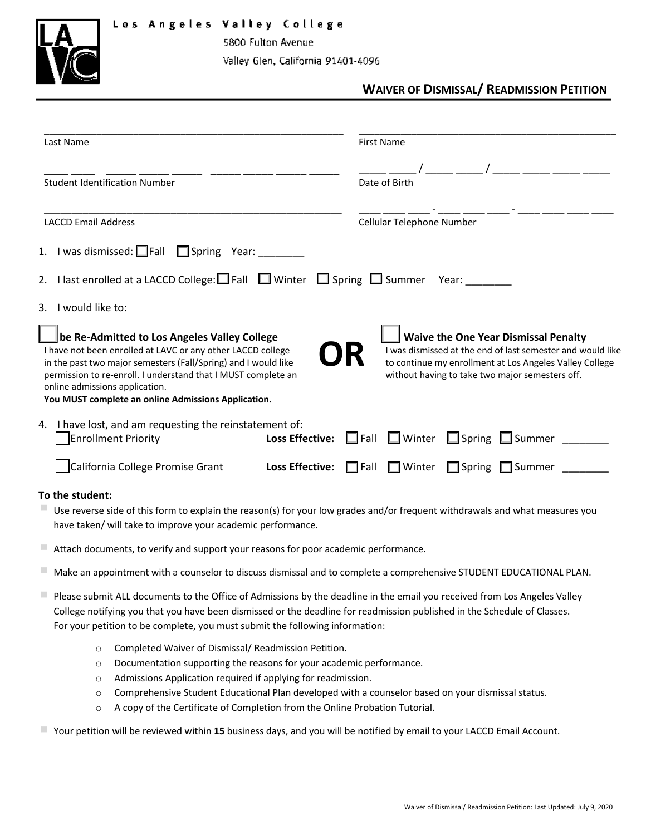## Los Angeles Valley College



5800 Fulton Avenue Valley Glen, California 91401-4096

## **WAIVER OF DISMISSAL/ READMISSION PETITION**

| Last Name                                                                                                                                                                                                                                                                                                                               | <b>First Name</b>                                                                                                                                                                                                             |
|-----------------------------------------------------------------------------------------------------------------------------------------------------------------------------------------------------------------------------------------------------------------------------------------------------------------------------------------|-------------------------------------------------------------------------------------------------------------------------------------------------------------------------------------------------------------------------------|
| <b>Student Identification Number</b>                                                                                                                                                                                                                                                                                                    | Date of Birth                                                                                                                                                                                                                 |
| <b>LACCD Email Address</b>                                                                                                                                                                                                                                                                                                              | Cellular Telephone Number                                                                                                                                                                                                     |
| 1. I was dismissed: $\Box$ Fall $\Box$ Spring Year: ________                                                                                                                                                                                                                                                                            |                                                                                                                                                                                                                               |
|                                                                                                                                                                                                                                                                                                                                         | 2. I last enrolled at a LACCD College: $\Box$ Fall $\Box$ Winter $\Box$ Spring $\Box$ Summer Year: ________                                                                                                                   |
| 3. I would like to:                                                                                                                                                                                                                                                                                                                     |                                                                                                                                                                                                                               |
| be Re-Admitted to Los Angeles Valley College<br>I have not been enrolled at LAVC or any other LACCD college<br>in the past two major semesters (Fall/Spring) and I would like<br>permission to re-enroll. I understand that I MUST complete an<br>online admissions application.<br>You MUST complete an online Admissions Application. | <b>Waive the One Year Dismissal Penalty</b><br>I was dismissed at the end of last semester and would like<br>OR<br>to continue my enrollment at Los Angeles Valley College<br>without having to take two major semesters off. |
| 4. I have lost, and am requesting the reinstatement of:<br><b>Enrollment Priority</b>                                                                                                                                                                                                                                                   | <b>Loss Effective:</b> $\Box$ Fall $\Box$ Winter $\Box$ Spring $\Box$ Summer                                                                                                                                                  |
|                                                                                                                                                                                                                                                                                                                                         | □ California College Promise Grant Loss Effective: □ Fall □ Winter □ Spring □ Summer                                                                                                                                          |
| To the student:                                                                                                                                                                                                                                                                                                                         | Use reverse side of this form to explain the reason(s) for your low grades and/or frequent withdrawals and what measures you                                                                                                  |

have taken/ will take to improve your academic performance.

- $\blacksquare$  Attach documents, to verify and support your reasons for poor academic performance.
- Make an appointment with a counselor to discuss dismissal and to complete a comprehensive STUDENT EDUCATIONAL PLAN.
- Please submit ALL documents to the Office of Admissions by the deadline in the email you received from Los Angeles Valley College notifying you that you have been dismissed or the deadline for readmission published in the Schedule of Classes. For your petition to be complete, you must submit the following information:
	- o Completed Waiver of Dismissal/ Readmission Petition.
	- o Documentation supporting the reasons for your academic performance.
	- o Admissions Application required if applying for readmission.
	- o Comprehensive Student Educational Plan developed with a counselor based on your dismissal status.
	- o A copy of the Certificate of Completion from the Online Probation Tutorial.

▫ Your petition will be reviewed within **15** business days, and you will be notified by email to your LACCD Email Account.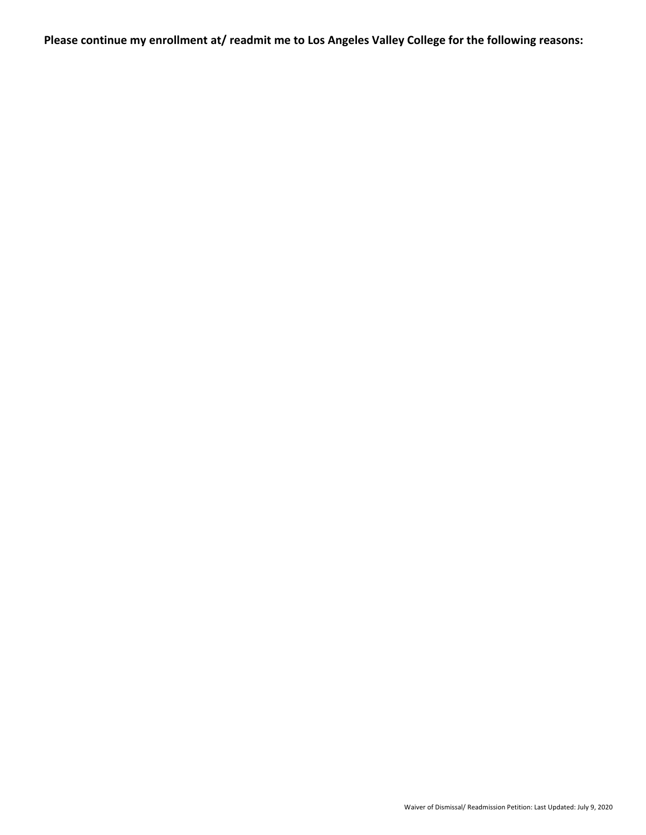**Please continue my enrollment at/ readmit me to Los Angeles Valley College for the following reasons:**